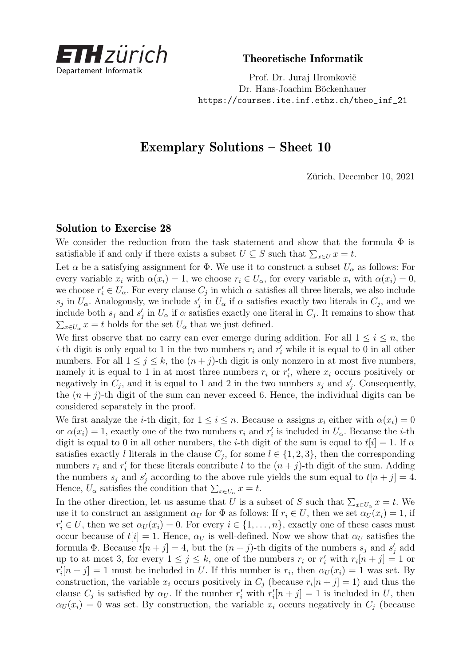

Theoretische Informatik

Prof. Dr. Juraj Hromkovič Dr. Hans-Joachim Böckenhauer [https://courses.ite.inf.ethz.ch/theo\\_inf\\_21](https://courses.ite.inf.ethz.ch/theo_inf_21)

## Exemplary Solutions – Sheet 10

Zürich, December 10, 2021

## Solution to Exercise 28

We consider the reduction from the task statement and show that the formula  $\Phi$  is satisfiable if and only if there exists a subset  $U \subseteq S$  such that  $\sum_{x \in U} x = t$ .

Let  $\alpha$  be a satisfying assignment for  $\Phi$ . We use it to construct a subset  $U_{\alpha}$  as follows: For every variable  $x_i$  with  $\alpha(x_i) = 1$ , we choose  $r_i \in U_\alpha$ , for every variable  $x_i$  with  $\alpha(x_i) = 0$ , we choose  $r'_i \in U_\alpha$ . For every clause  $C_j$  in which  $\alpha$  satisfies all three literals, we also include *s*<sup>*j*</sup> in  $U_{\alpha}$ . Analogously, we include *s*<sup>*j*</sup> in  $U_{\alpha}$  if  $\alpha$  satisfies exactly two literals in  $C_j$ , and we include both  $s_j$  and  $s'_j$  in  $U_\alpha$  if  $\alpha$  satisfies exactly one literal in  $C_j$ . It remains to show that  $\sum_{x \in U_a} x = t$  holds for the set  $U_a$  that we just defined.

We first observe that no carry can ever emerge during addition. For all  $1 \leq i \leq n$ , the *i*-th digit is only equal to 1 in the two numbers  $r_i$  and  $r'_i$  while it is equal to 0 in all other numbers. For all  $1 \leq j \leq k$ , the  $(n + j)$ -th digit is only nonzero in at most five numbers, namely it is equal to 1 in at most three numbers  $r_i$  or  $r'_i$ , where  $x_i$  occurs positively or negatively in  $C_j$ , and it is equal to 1 and 2 in the two numbers  $s_j$  and  $s'_j$ . Consequently, the  $(n + j)$ -th digit of the sum can never exceed 6. Hence, the individual digits can be considered separately in the proof.

We first analyze the *i*-th digit, for  $1 \leq i \leq n$ . Because  $\alpha$  assigns  $x_i$  either with  $\alpha(x_i) = 0$ or  $\alpha(x_i) = 1$ , exactly one of the two numbers  $r_i$  and  $r'_i$  is included in  $U_\alpha$ . Because the *i*-th digit is equal to 0 in all other numbers, the *i*-th digit of the sum is equal to  $t[i] = 1$ . If  $\alpha$ satisfies exactly *l* literals in the clause  $C_j$ , for some  $l \in \{1, 2, 3\}$ , then the corresponding numbers  $r_i$  and  $r'_i$  for these literals contribute *l* to the  $(n + j)$ -th digit of the sum. Adding the numbers  $s_j$  and  $s'_j$  according to the above rule yields the sum equal to  $t[n+j] = 4$ . Hence,  $U_{\alpha}$  satisfies the condition that  $\sum_{x \in U_{\alpha}} x = t$ .

In the other direction, let us assume that *U* is a subset of *S* such that  $\sum_{x \in U_{\alpha}} x = t$ . We use it to construct an assignment  $\alpha_U$  for  $\Phi$  as follows: If  $r_i \in U$ , then we set  $\alpha_U(x_i) = 1$ , if  $r'_i \in U$ , then we set  $\alpha_U(x_i) = 0$ . For every  $i \in \{1, \ldots, n\}$ , exactly one of these cases must occur because of  $t[i] = 1$ . Hence,  $\alpha_U$  is well-defined. Now we show that  $\alpha_U$  satisfies the formula  $\Phi$ . Because  $t[n+j] = 4$ , but the  $(n+j)$ -th digits of the numbers  $s_j$  and  $s'_j$  add up to at most 3, for every  $1 \leq j \leq k$ , one of the numbers  $r_i$  or  $r'_i$  with  $r_i[n+j] = 1$  or  $r'_i[n+j] = 1$  must be included in *U*. If this number is  $r_i$ , then  $\alpha_U(x_i) = 1$  was set. By construction, the variable  $x_i$  occurs positively in  $C_j$  (because  $r_i[n+j]=1$ ) and thus the clause  $C_j$  is satisfied by  $\alpha_U$ . If the number  $r'_i$  with  $r'_i[n+j] = 1$  is included in *U*, then  $\alpha$ <sup>*U*</sup> (*x*<sup>*i*</sup>) = 0 was set. By construction, the variable *x<sub>i</sub>* occurs negatively in  $C_i$  (because